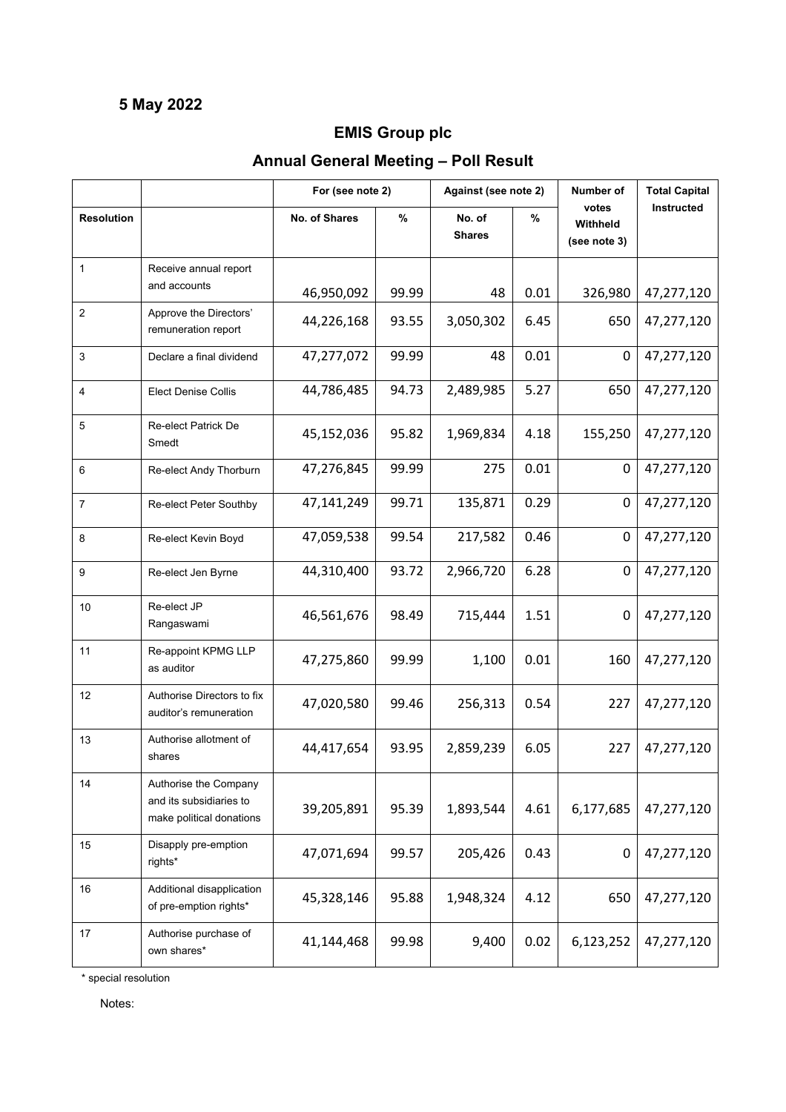## **5 May 2022**

## **EMIS Group plc**

## **Annual General Meeting – Poll Result**

|                   |                                                                              | For (see note 2) |       | Against (see note 2)    |      | Number of                         | <b>Total Capital</b> |
|-------------------|------------------------------------------------------------------------------|------------------|-------|-------------------------|------|-----------------------------------|----------------------|
| <b>Resolution</b> |                                                                              | No. of Shares    | $\%$  | No. of<br><b>Shares</b> | %    | votes<br>Withheld<br>(see note 3) | <b>Instructed</b>    |
| $\mathbf{1}$      | Receive annual report<br>and accounts                                        | 46,950,092       | 99.99 | 48                      | 0.01 | 326,980                           | 47,277,120           |
| $\overline{c}$    | Approve the Directors'<br>remuneration report                                | 44,226,168       | 93.55 | 3,050,302               | 6.45 | 650                               | 47,277,120           |
| $\mathbf{3}$      | Declare a final dividend                                                     | 47,277,072       | 99.99 | 48                      | 0.01 | 0                                 | 47,277,120           |
| 4                 | <b>Elect Denise Collis</b>                                                   | 44,786,485       | 94.73 | 2,489,985               | 5.27 | 650                               | 47,277,120           |
| 5                 | <b>Re-elect Patrick De</b><br>Smedt                                          | 45,152,036       | 95.82 | 1,969,834               | 4.18 | 155,250                           | 47,277,120           |
| 6                 | Re-elect Andy Thorburn                                                       | 47,276,845       | 99.99 | 275                     | 0.01 | 0                                 | 47,277,120           |
| $\overline{7}$    | Re-elect Peter Southby                                                       | 47,141,249       | 99.71 | 135,871                 | 0.29 | 0                                 | 47,277,120           |
| 8                 | Re-elect Kevin Boyd                                                          | 47,059,538       | 99.54 | 217,582                 | 0.46 | 0                                 | 47,277,120           |
| 9                 | Re-elect Jen Byrne                                                           | 44,310,400       | 93.72 | 2,966,720               | 6.28 | 0                                 | 47,277,120           |
| 10                | Re-elect JP<br>Rangaswami                                                    | 46,561,676       | 98.49 | 715,444                 | 1.51 | 0                                 | 47,277,120           |
| 11                | Re-appoint KPMG LLP<br>as auditor                                            | 47,275,860       | 99.99 | 1,100                   | 0.01 | 160                               | 47,277,120           |
| 12                | Authorise Directors to fix<br>auditor's remuneration                         | 47,020,580       | 99.46 | 256,313                 | 0.54 | 227                               | 47,277,120           |
| 13                | Authorise allotment of<br>shares                                             | 44,417,654       | 93.95 | 2,859,239               | 6.05 | 227                               | 47,277,120           |
| 14                | Authorise the Company<br>and its subsidiaries to<br>make political donations | 39,205,891       | 95.39 | 1,893,544               | 4.61 | 6,177,685                         | 47,277,120           |
| 15                | Disapply pre-emption<br>rights*                                              | 47,071,694       | 99.57 | 205,426                 | 0.43 | 0                                 | 47,277,120           |
| 16                | Additional disapplication<br>of pre-emption rights*                          | 45,328,146       | 95.88 | 1,948,324               | 4.12 | 650                               | 47,277,120           |
| 17                | Authorise purchase of<br>own shares*                                         | 41,144,468       | 99.98 | 9,400                   | 0.02 | 6,123,252                         | 47,277,120           |

\* special resolution

Notes: